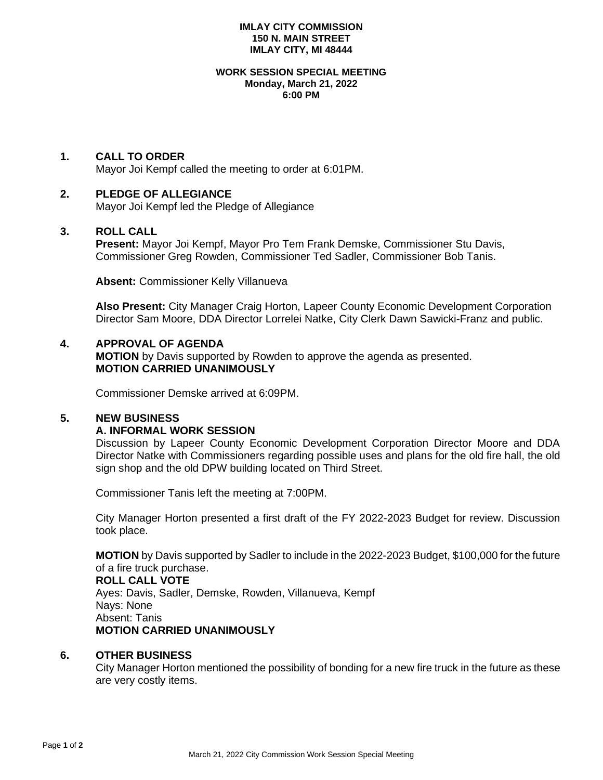### **IMLAY CITY COMMISSION 150 N. MAIN STREET IMLAY CITY, MI 48444**

#### **WORK SESSION SPECIAL MEETING Monday, March 21, 2022 6:00 PM**

# **1. CALL TO ORDER**

Mayor Joi Kempf called the meeting to order at 6:01PM.

# **2. PLEDGE OF ALLEGIANCE**

Mayor Joi Kempf led the Pledge of Allegiance

### **3. ROLL CALL**

**Present:** Mayor Joi Kempf, Mayor Pro Tem Frank Demske, Commissioner Stu Davis, Commissioner Greg Rowden, Commissioner Ted Sadler, Commissioner Bob Tanis.

**Absent:** Commissioner Kelly Villanueva

**Also Present:** City Manager Craig Horton, Lapeer County Economic Development Corporation Director Sam Moore, DDA Director Lorrelei Natke, City Clerk Dawn Sawicki-Franz and public.

# **4. APPROVAL OF AGENDA**

**MOTION** by Davis supported by Rowden to approve the agenda as presented. **MOTION CARRIED UNANIMOUSLY**

Commissioner Demske arrived at 6:09PM.

# **5. NEW BUSINESS**

# **A. INFORMAL WORK SESSION**

Discussion by Lapeer County Economic Development Corporation Director Moore and DDA Director Natke with Commissioners regarding possible uses and plans for the old fire hall, the old sign shop and the old DPW building located on Third Street.

Commissioner Tanis left the meeting at 7:00PM.

City Manager Horton presented a first draft of the FY 2022-2023 Budget for review. Discussion took place.

**MOTION** by Davis supported by Sadler to include in the 2022-2023 Budget, \$100,000 for the future of a fire truck purchase. **ROLL CALL VOTE** Ayes: Davis, Sadler, Demske, Rowden, Villanueva, Kempf Nays: None Absent: Tanis **MOTION CARRIED UNANIMOUSLY**

# **6. OTHER BUSINESS**

City Manager Horton mentioned the possibility of bonding for a new fire truck in the future as these are very costly items.